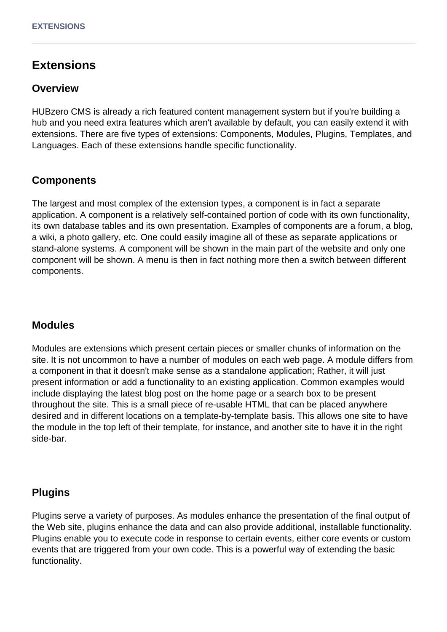# **Extensions**

#### **Overview**

HUBzero CMS is already a rich featured content management system but if you're building a hub and you need extra features which aren't available by default, you can easily extend it with extensions. There are five types of extensions: Components, Modules, Plugins, Templates, and Languages. Each of these extensions handle specific functionality.

# **Components**

The largest and most complex of the extension types, a component is in fact a separate application. A component is a relatively self-contained portion of code with its own functionality, its own database tables and its own presentation. Examples of components are a forum, a blog, a wiki, a photo gallery, etc. One could easily imagine all of these as separate applications or stand-alone systems. A component will be shown in the main part of the website and only one component will be shown. A menu is then in fact nothing more then a switch between different components.

# **Modules**

Modules are extensions which present certain pieces or smaller chunks of information on the site. It is not uncommon to have a number of modules on each web page. A module differs from a component in that it doesn't make sense as a standalone application; Rather, it will just present information or add a functionality to an existing application. Common examples would include displaying the latest blog post on the home page or a search box to be present throughout the site. This is a small piece of re-usable HTML that can be placed anywhere desired and in different locations on a template-by-template basis. This allows one site to have the module in the top left of their template, for instance, and another site to have it in the right side-bar.

#### **Plugins**

Plugins serve a variety of purposes. As modules enhance the presentation of the final output of the Web site, plugins enhance the data and can also provide additional, installable functionality. Plugins enable you to execute code in response to certain events, either core events or custom events that are triggered from your own code. This is a powerful way of extending the basic functionality.